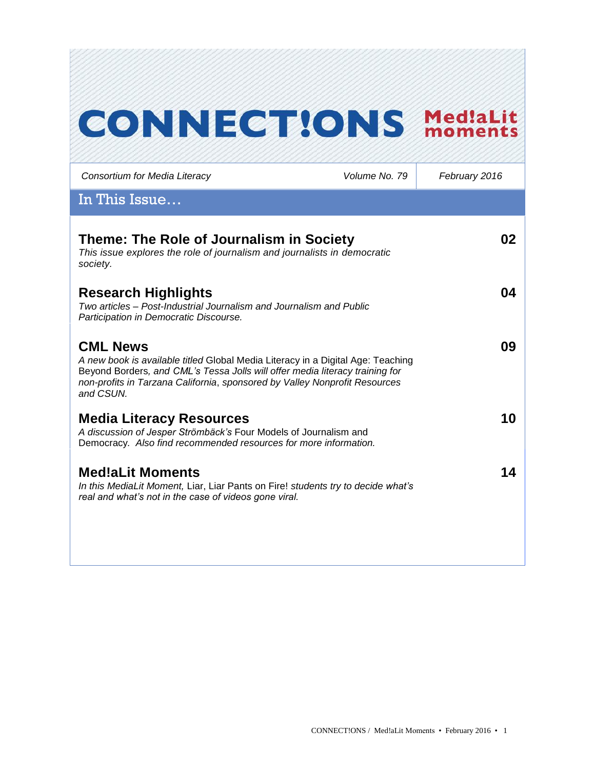# **CONNECT!ONS Med!aLit**

| Consortium for Media Literacy                                                                                                                                                                                                                                                 | Volume No. 79 | February 2016 |
|-------------------------------------------------------------------------------------------------------------------------------------------------------------------------------------------------------------------------------------------------------------------------------|---------------|---------------|
| In This Issue                                                                                                                                                                                                                                                                 |               |               |
| Theme: The Role of Journalism in Society<br>This issue explores the role of journalism and journalists in democratic<br>society.                                                                                                                                              |               | 02            |
| <b>Research Highlights</b><br>Two articles – Post-Industrial Journalism and Journalism and Public<br>Participation in Democratic Discourse.                                                                                                                                   |               | 04            |
| <b>CML News</b><br>A new book is available titled Global Media Literacy in a Digital Age: Teaching<br>Beyond Borders, and CML's Tessa Jolls will offer media literacy training for<br>non-profits in Tarzana California, sponsored by Valley Nonprofit Resources<br>and CSUN. |               | 09            |
| <b>Media Literacy Resources</b><br>A discussion of Jesper Strömbäck's Four Models of Journalism and<br>Democracy. Also find recommended resources for more information.                                                                                                       |               | 10            |
| <b>Med!aLit Moments</b><br>In this MediaLit Moment, Liar, Liar Pants on Fire! students try to decide what's<br>real and what's not in the case of videos gone viral.                                                                                                          |               | 14            |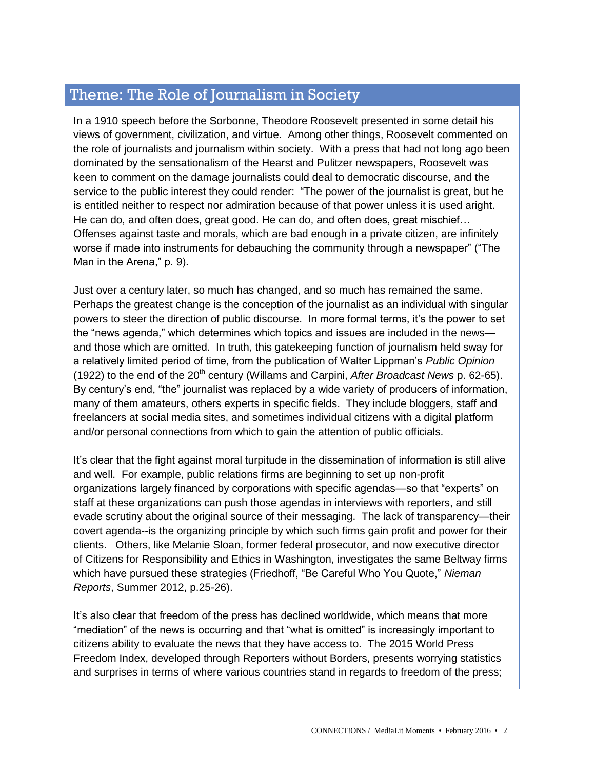# Theme: The Role of Journalism in Society

In a 1910 speech before the Sorbonne, Theodore Roosevelt presented in some detail his views of government, civilization, and virtue. Among other things, Roosevelt commented on the role of journalists and journalism within society. With a press that had not long ago been dominated by the sensationalism of the Hearst and Pulitzer newspapers, Roosevelt was keen to comment on the damage journalists could deal to democratic discourse, and the service to the public interest they could render: "The power of the journalist is great, but he is entitled neither to respect nor admiration because of that power unless it is used aright. He can do, and often does, great good. He can do, and often does, great mischief… Offenses against taste and morals, which are bad enough in a private citizen, are infinitely worse if made into instruments for debauching the community through a newspaper" ("The Man in the Arena," p. 9).

Just over a century later, so much has changed, and so much has remained the same. Perhaps the greatest change is the conception of the journalist as an individual with singular powers to steer the direction of public discourse. In more formal terms, it's the power to set the "news agenda," which determines which topics and issues are included in the news and those which are omitted. In truth, this gatekeeping function of journalism held sway for a relatively limited period of time, from the publication of Walter Lippman's *Public Opinion*  (1922) to the end of the 20<sup>th</sup> century (Willams and Carpini, *After Broadcast News* p. 62-65). By century's end, "the" journalist was replaced by a wide variety of producers of information, many of them amateurs, others experts in specific fields. They include bloggers, staff and freelancers at social media sites, and sometimes individual citizens with a digital platform and/or personal connections from which to gain the attention of public officials.

It's clear that the fight against moral turpitude in the dissemination of information is still alive and well. For example, public relations firms are beginning to set up non-profit organizations largely financed by corporations with specific agendas—so that "experts" on staff at these organizations can push those agendas in interviews with reporters, and still evade scrutiny about the original source of their messaging. The lack of transparency—their covert agenda--is the organizing principle by which such firms gain profit and power for their clients. Others, like Melanie Sloan, former federal prosecutor, and now executive director of Citizens for Responsibility and Ethics in Washington, investigates the same Beltway firms which have pursued these strategies (Friedhoff, "Be Careful Who You Quote," *Nieman Reports*, Summer 2012, p.25-26).

It's also clear that freedom of the press has declined worldwide, which means that more "mediation" of the news is occurring and that "what is omitted" is increasingly important to citizens ability to evaluate the news that they have access to. The 2015 World Press Freedom Index, developed through Reporters without Borders, presents worrying statistics and surprises in terms of where various countries stand in regards to freedom of the press;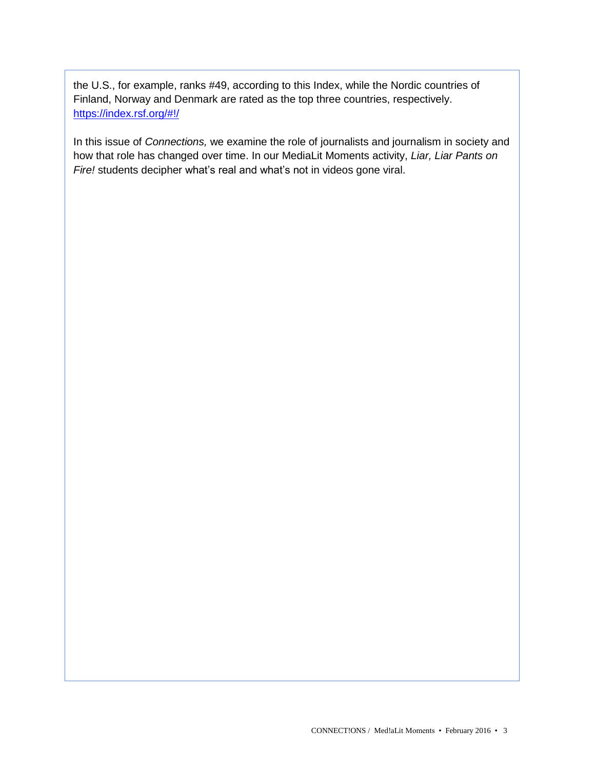the U.S., for example, ranks #49, according to this Index, while the Nordic countries of Finland, Norway and Denmark are rated as the top three countries, respectively. <https://index.rsf.org/#!/>

In this issue of *Connections,* we examine the role of journalists and journalism in society and how that role has changed over time. In our MediaLit Moments activity, *Liar, Liar Pants on Fire!* students decipher what's real and what's not in videos gone viral.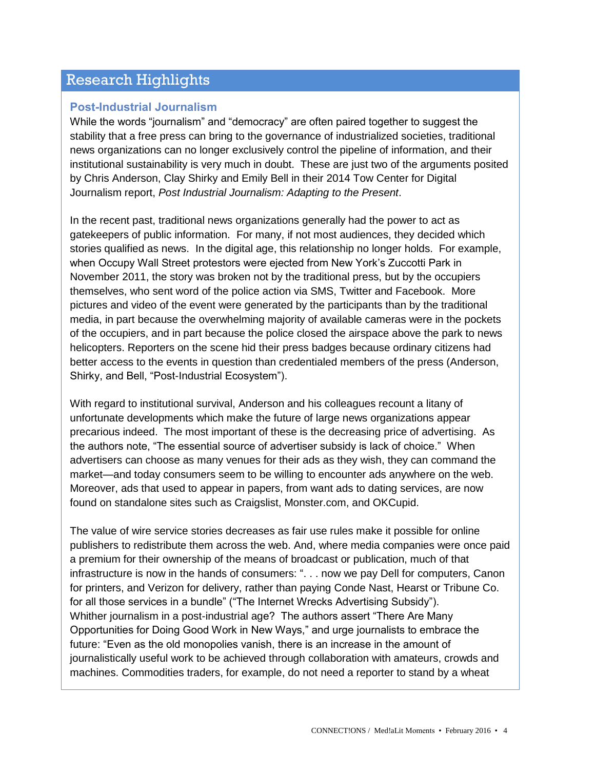# Research Highlights

## **Post-Industrial Journalism**

While the words "journalism" and "democracy" are often paired together to suggest the stability that a free press can bring to the governance of industrialized societies, traditional news organizations can no longer exclusively control the pipeline of information, and their institutional sustainability is very much in doubt. These are just two of the arguments posited by Chris Anderson, Clay Shirky and Emily Bell in their 2014 Tow Center for Digital Journalism report, *Post Industrial Journalism: Adapting to the Present*.

In the recent past, traditional news organizations generally had the power to act as gatekeepers of public information. For many, if not most audiences, they decided which stories qualified as news. In the digital age, this relationship no longer holds. For example, when Occupy Wall Street protestors were ejected from New York's Zuccotti Park in November 2011, the story was broken not by the traditional press, but by the occupiers themselves, who sent word of the police action via SMS, Twitter and Facebook. More pictures and video of the event were generated by the participants than by the traditional media, in part because the overwhelming majority of available cameras were in the pockets of the occupiers, and in part because the police closed the airspace above the park to news helicopters. Reporters on the scene hid their press badges because ordinary citizens had better access to the events in question than credentialed members of the press (Anderson, Shirky, and Bell, "Post-Industrial Ecosystem").

With regard to institutional survival, Anderson and his colleagues recount a litany of unfortunate developments which make the future of large news organizations appear precarious indeed. The most important of these is the decreasing price of advertising. As the authors note, "The essential source of advertiser subsidy is lack of choice." When advertisers can choose as many venues for their ads as they wish, they can command the market—and today consumers seem to be willing to encounter ads anywhere on the web. Moreover, ads that used to appear in papers, from want ads to dating services, are now found on standalone sites such as Craigslist, Monster.com, and OKCupid.

The value of wire service stories decreases as fair use rules make it possible for online publishers to redistribute them across the web. And, where media companies were once paid a premium for their ownership of the means of broadcast or publication, much of that infrastructure is now in the hands of consumers: ". . . now we pay Dell for computers, Canon for printers, and Verizon for delivery, rather than paying Conde Nast, Hearst or Tribune Co. for all those services in a bundle" ("The Internet Wrecks Advertising Subsidy"). Whither journalism in a post-industrial age? The authors assert "There Are Many Opportunities for Doing Good Work in New Ways," and urge journalists to embrace the future: "Even as the old monopolies vanish, there is an increase in the amount of journalistically useful work to be achieved through collaboration with amateurs, crowds and machines. Commodities traders, for example, do not need a reporter to stand by a wheat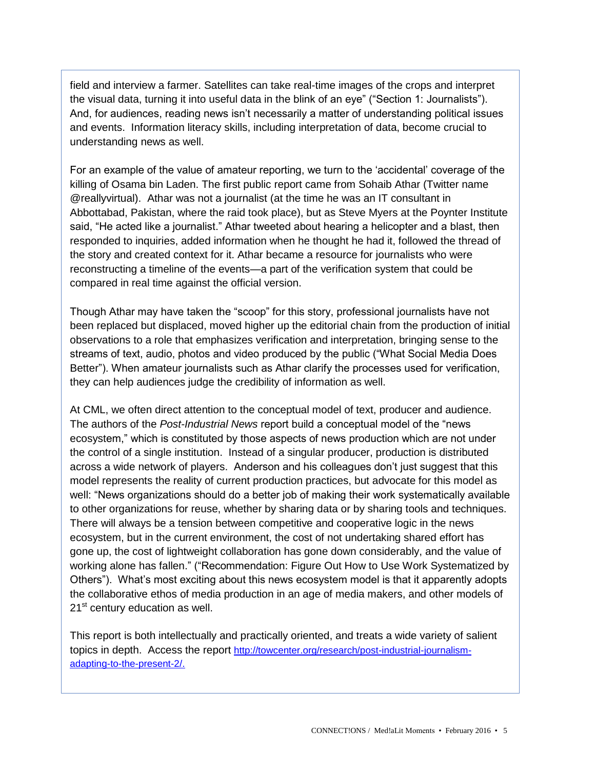field and interview a farmer. Satellites can take real-time images of the crops and interpret the visual data, turning it into useful data in the blink of an eye" ("Section 1: Journalists"). And, for audiences, reading news isn't necessarily a matter of understanding political issues and events. Information literacy skills, including interpretation of data, become crucial to understanding news as well.

For an example of the value of amateur reporting, we turn to the 'accidental' coverage of the killing of Osama bin Laden. The first public report came from Sohaib Athar (Twitter name @reallyvirtual). Athar was not a journalist (at the time he was an IT consultant in Abbottabad, Pakistan, where the raid took place), but as Steve Myers at the Poynter Institute said, "He acted like a journalist." Athar tweeted about hearing a helicopter and a blast, then responded to inquiries, added information when he thought he had it, followed the thread of the story and created context for it. Athar became a resource for journalists who were reconstructing a timeline of the events—a part of the verification system that could be compared in real time against the official version.

Though Athar may have taken the "scoop" for this story, professional journalists have not been replaced but displaced, moved higher up the editorial chain from the production of initial observations to a role that emphasizes verification and interpretation, bringing sense to the streams of text, audio, photos and video produced by the public ("What Social Media Does Better"). When amateur journalists such as Athar clarify the processes used for verification, they can help audiences judge the credibility of information as well.

At CML, we often direct attention to the conceptual model of text, producer and audience. The authors of the *Post-Industrial News* report build a conceptual model of the "news ecosystem," which is constituted by those aspects of news production which are not under the control of a single institution. Instead of a singular producer, production is distributed across a wide network of players. Anderson and his colleagues don't just suggest that this model represents the reality of current production practices, but advocate for this model as well: "News organizations should do a better job of making their work systematically available to other organizations for reuse, whether by sharing data or by sharing tools and techniques. There will always be a tension between competitive and cooperative logic in the news ecosystem, but in the current environment, the cost of not undertaking shared effort has gone up, the cost of lightweight collaboration has gone down considerably, and the value of working alone has fallen." ("Recommendation: Figure Out How to Use Work Systematized by Others"). What's most exciting about this news ecosystem model is that it apparently adopts the collaborative ethos of media production in an age of media makers, and other models of 21<sup>st</sup> century education as well.

This report is both intellectually and practically oriented, and treats a wide variety of salient topics in depth. Access the report [http://towcenter.org/research/post-industrial-journalism](http://towcenter.org/research/post-industrial-journalism-adapting-to-the-present-2/)[adapting-to-the-present-2/.](http://towcenter.org/research/post-industrial-journalism-adapting-to-the-present-2/)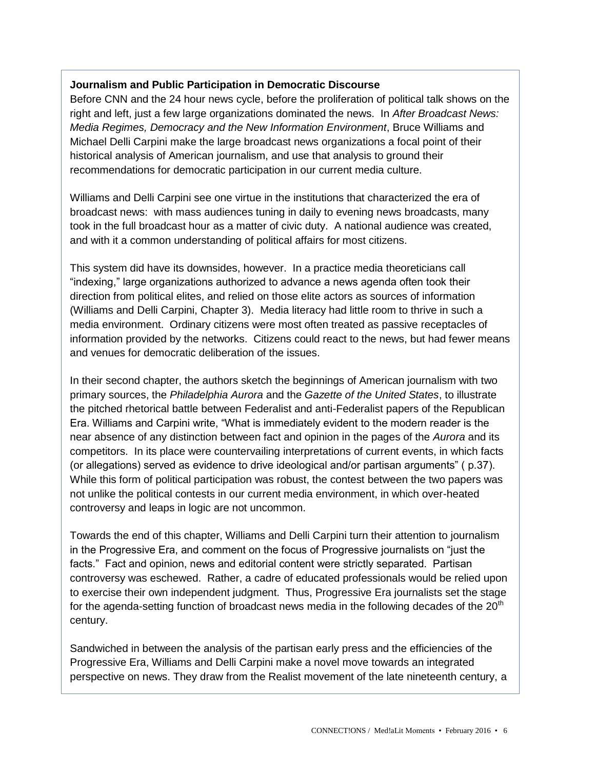## **Journalism and Public Participation in Democratic Discourse**

Before CNN and the 24 hour news cycle, before the proliferation of political talk shows on the right and left, just a few large organizations dominated the news. In *After Broadcast News: Media Regimes, Democracy and the New Information Environment*, Bruce Williams and Michael Delli Carpini make the large broadcast news organizations a focal point of their historical analysis of American journalism, and use that analysis to ground their recommendations for democratic participation in our current media culture.

Williams and Delli Carpini see one virtue in the institutions that characterized the era of broadcast news: with mass audiences tuning in daily to evening news broadcasts, many took in the full broadcast hour as a matter of civic duty. A national audience was created, and with it a common understanding of political affairs for most citizens.

This system did have its downsides, however. In a practice media theoreticians call "indexing," large organizations authorized to advance a news agenda often took their direction from political elites, and relied on those elite actors as sources of information (Williams and Delli Carpini, Chapter 3). Media literacy had little room to thrive in such a media environment. Ordinary citizens were most often treated as passive receptacles of information provided by the networks. Citizens could react to the news, but had fewer means and venues for democratic deliberation of the issues.

In their second chapter, the authors sketch the beginnings of American journalism with two primary sources, the *Philadelphia Aurora* and the *Gazette of the United States*, to illustrate the pitched rhetorical battle between Federalist and anti-Federalist papers of the Republican Era. Williams and Carpini write, "What is immediately evident to the modern reader is the near absence of any distinction between fact and opinion in the pages of the *Aurora* and its competitors. In its place were countervailing interpretations of current events, in which facts (or allegations) served as evidence to drive ideological and/or partisan arguments" ( p.37). While this form of political participation was robust, the contest between the two papers was not unlike the political contests in our current media environment, in which over-heated controversy and leaps in logic are not uncommon.

Towards the end of this chapter, Williams and Delli Carpini turn their attention to journalism in the Progressive Era, and comment on the focus of Progressive journalists on "just the facts." Fact and opinion, news and editorial content were strictly separated. Partisan controversy was eschewed. Rather, a cadre of educated professionals would be relied upon to exercise their own independent judgment. Thus, Progressive Era journalists set the stage for the agenda-setting function of broadcast news media in the following decades of the  $20<sup>th</sup>$ century.

Sandwiched in between the analysis of the partisan early press and the efficiencies of the Progressive Era, Williams and Delli Carpini make a novel move towards an integrated perspective on news. They draw from the Realist movement of the late nineteenth century, a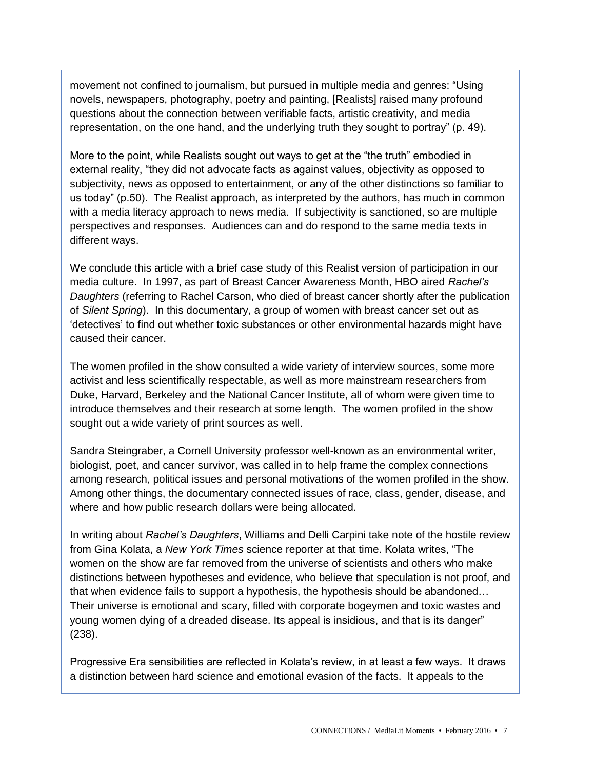movement not confined to journalism, but pursued in multiple media and genres: "Using novels, newspapers, photography, poetry and painting, [Realists] raised many profound questions about the connection between verifiable facts, artistic creativity, and media representation, on the one hand, and the underlying truth they sought to portray" (p. 49).

More to the point, while Realists sought out ways to get at the "the truth" embodied in external reality, "they did not advocate facts as against values, objectivity as opposed to subjectivity, news as opposed to entertainment, or any of the other distinctions so familiar to us today" (p.50). The Realist approach, as interpreted by the authors, has much in common with a media literacy approach to news media. If subjectivity is sanctioned, so are multiple perspectives and responses. Audiences can and do respond to the same media texts in different ways.

We conclude this article with a brief case study of this Realist version of participation in our media culture. In 1997, as part of Breast Cancer Awareness Month, HBO aired *Rachel's Daughters* (referring to Rachel Carson, who died of breast cancer shortly after the publication of *Silent Spring*). In this documentary, a group of women with breast cancer set out as 'detectives' to find out whether toxic substances or other environmental hazards might have caused their cancer.

The women profiled in the show consulted a wide variety of interview sources, some more activist and less scientifically respectable, as well as more mainstream researchers from Duke, Harvard, Berkeley and the National Cancer Institute, all of whom were given time to introduce themselves and their research at some length. The women profiled in the show sought out a wide variety of print sources as well.

Sandra Steingraber, a Cornell University professor well-known as an environmental writer, biologist, poet, and cancer survivor, was called in to help frame the complex connections among research, political issues and personal motivations of the women profiled in the show. Among other things, the documentary connected issues of race, class, gender, disease, and where and how public research dollars were being allocated.

In writing about *Rachel's Daughters*, Williams and Delli Carpini take note of the hostile review from Gina Kolata, a *New York Times* science reporter at that time. Kolata writes, "The women on the show are far removed from the universe of scientists and others who make distinctions between hypotheses and evidence, who believe that speculation is not proof, and that when evidence fails to support a hypothesis, the hypothesis should be abandoned… Their universe is emotional and scary, filled with corporate bogeymen and toxic wastes and young women dying of a dreaded disease. Its appeal is insidious, and that is its danger" (238).

Progressive Era sensibilities are reflected in Kolata's review, in at least a few ways. It draws a distinction between hard science and emotional evasion of the facts. It appeals to the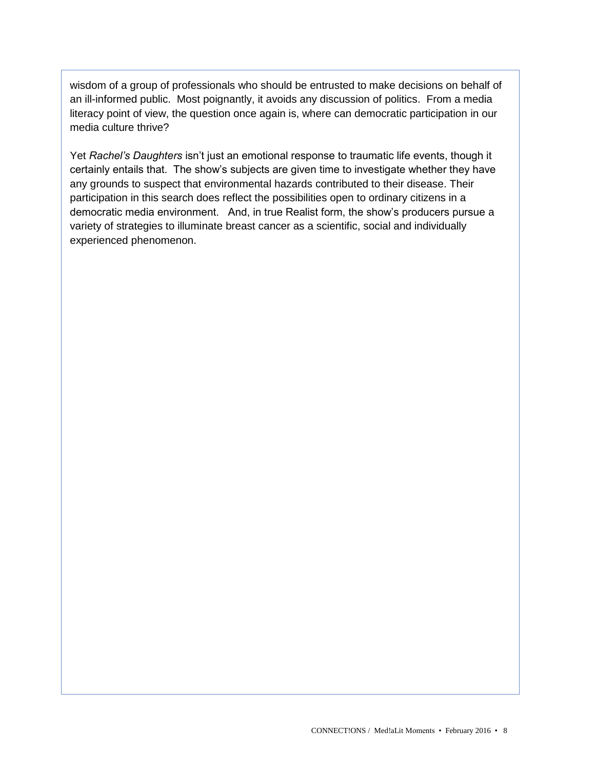wisdom of a group of professionals who should be entrusted to make decisions on behalf of an ill-informed public. Most poignantly, it avoids any discussion of politics. From a media literacy point of view, the question once again is, where can democratic participation in our media culture thrive?

Yet *Rachel's Daughters* isn't just an emotional response to traumatic life events, though it certainly entails that. The show's subjects are given time to investigate whether they have any grounds to suspect that environmental hazards contributed to their disease. Their participation in this search does reflect the possibilities open to ordinary citizens in a democratic media environment. And, in true Realist form, the show's producers pursue a variety of strategies to illuminate breast cancer as a scientific, social and individually experienced phenomenon.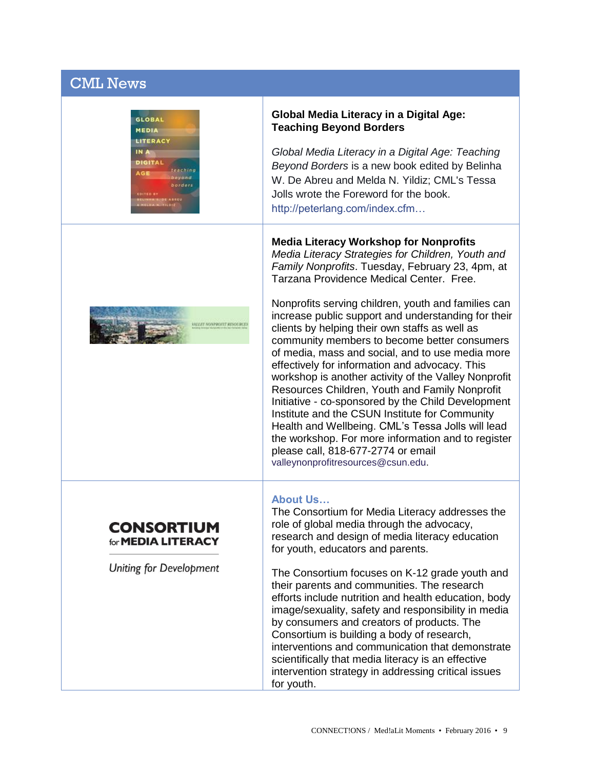# CML News





#### **Global Media Literacy in a Digital Age: Teaching Beyond Borders**

*Global Media Literacy in a Digital Age: Teaching Beyond Borders* is a new book edited by Belinha W. De Abreu and Melda N. Yildiz; CML's Tessa Jolls wrote the Foreword for the book. [http://peterlang.com/index.cfm…](http://peterlang.com/index.cfm?event=cmp.ccc.seitenstruktur.detailseiten&seitentyp=produkt&pk=83663&cid=537&concordeid=312845)

## **Media Literacy Workshop for Nonprofits**

*Media Literacy Strategies for Children, Youth and Family Nonprofits*. Tuesday, February 23, 4pm, at Tarzana Providence Medical Center. Free.

Nonprofits serving children, youth and families can increase public support and understanding for their clients by helping their own staffs as well as community members to become better consumers of media, mass and social, and to use media more effectively for information and advocacy. This workshop is another activity of the Valley Nonprofit Resources Children, Youth and Family Nonprofit Initiative - co-sponsored by the Child Development Institute and the CSUN Institute for Community Health and Wellbeing. CML's Tessa Jolls will lead the workshop. For more information and to register please call, 818-677-2774 or email [valleynonprofitresources@csun.edu.](mailto:valleynonprofitresources@csun.edu)

#### **About Us…**

The Consortium for Media Literacy addresses the role of global media through the advocacy, research and design of media literacy education for youth, educators and parents.

The Consortium focuses on K-12 grade youth and their parents and communities. The research efforts include nutrition and health education, body image/sexuality, safety and responsibility in media by consumers and creators of products. The Consortium is building a body of research, interventions and communication that demonstrate scientifically that media literacy is an effective intervention strategy in addressing critical issues for youth.

### **CONSORTIUM** for **MEDIA LITERACY**

**Uniting for Development**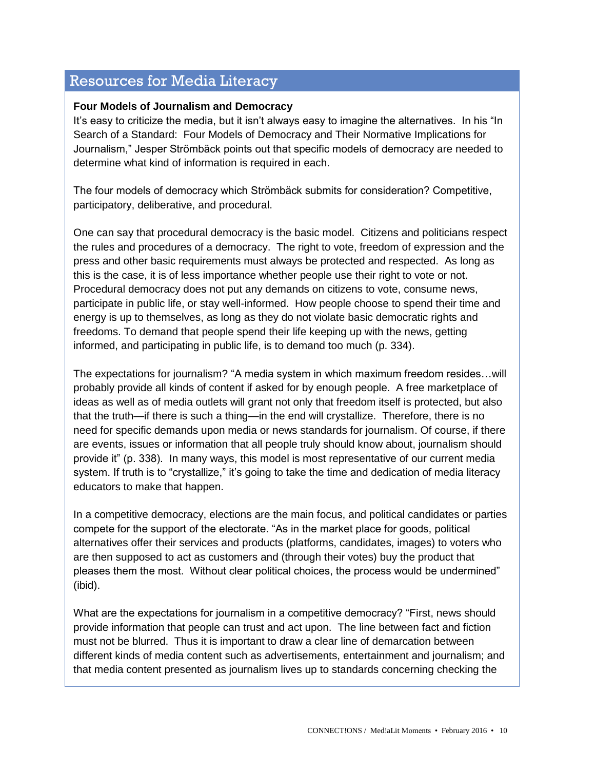# Resources for Media Literacy

## **Four Models of Journalism and Democracy**

It's easy to criticize the media, but it isn't always easy to imagine the alternatives. In his "In Search of a Standard: Four Models of Democracy and Their Normative Implications for Journalism," Jesper Strӧmbӓck points out that specific models of democracy are needed to determine what kind of information is required in each.

The four models of democracy which Strӧmbӓck submits for consideration? Competitive, participatory, deliberative, and procedural.

One can say that procedural democracy is the basic model. Citizens and politicians respect the rules and procedures of a democracy. The right to vote, freedom of expression and the press and other basic requirements must always be protected and respected. As long as this is the case, it is of less importance whether people use their right to vote or not. Procedural democracy does not put any demands on citizens to vote, consume news, participate in public life, or stay well-informed. How people choose to spend their time and energy is up to themselves, as long as they do not violate basic democratic rights and freedoms. To demand that people spend their life keeping up with the news, getting informed, and participating in public life, is to demand too much (p. 334).

The expectations for journalism? "A media system in which maximum freedom resides…will probably provide all kinds of content if asked for by enough people. A free marketplace of ideas as well as of media outlets will grant not only that freedom itself is protected, but also that the truth—if there is such a thing—in the end will crystallize. Therefore, there is no need for specific demands upon media or news standards for journalism. Of course, if there are events, issues or information that all people truly should know about, journalism should provide it" (p. 338). In many ways, this model is most representative of our current media system. If truth is to "crystallize," it's going to take the time and dedication of media literacy educators to make that happen.

In a competitive democracy, elections are the main focus, and political candidates or parties compete for the support of the electorate. "As in the market place for goods, political alternatives offer their services and products (platforms, candidates, images) to voters who are then supposed to act as customers and (through their votes) buy the product that pleases them the most. Without clear political choices, the process would be undermined" (ibid).

What are the expectations for journalism in a competitive democracy? "First, news should provide information that people can trust and act upon. The line between fact and fiction must not be blurred. Thus it is important to draw a clear line of demarcation between different kinds of media content such as advertisements, entertainment and journalism; and that media content presented as journalism lives up to standards concerning checking the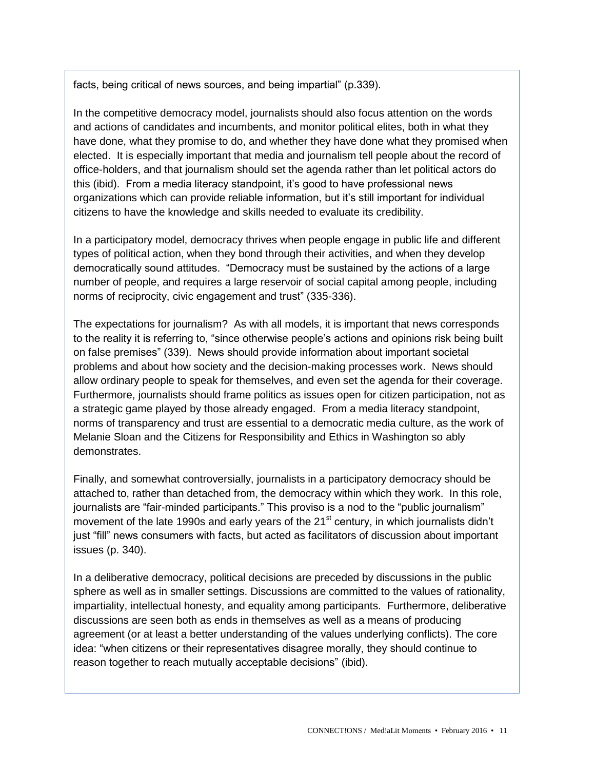facts, being critical of news sources, and being impartial" (p.339).

In the competitive democracy model, journalists should also focus attention on the words and actions of candidates and incumbents, and monitor political elites, both in what they have done, what they promise to do, and whether they have done what they promised when elected. It is especially important that media and journalism tell people about the record of office-holders, and that journalism should set the agenda rather than let political actors do this (ibid). From a media literacy standpoint, it's good to have professional news organizations which can provide reliable information, but it's still important for individual citizens to have the knowledge and skills needed to evaluate its credibility.

In a participatory model, democracy thrives when people engage in public life and different types of political action, when they bond through their activities, and when they develop democratically sound attitudes. "Democracy must be sustained by the actions of a large number of people, and requires a large reservoir of social capital among people, including norms of reciprocity, civic engagement and trust" (335-336).

The expectations for journalism? As with all models, it is important that news corresponds to the reality it is referring to, "since otherwise people's actions and opinions risk being built on false premises" (339). News should provide information about important societal problems and about how society and the decision-making processes work. News should allow ordinary people to speak for themselves, and even set the agenda for their coverage. Furthermore, journalists should frame politics as issues open for citizen participation, not as a strategic game played by those already engaged. From a media literacy standpoint, norms of transparency and trust are essential to a democratic media culture, as the work of Melanie Sloan and the Citizens for Responsibility and Ethics in Washington so ably demonstrates.

Finally, and somewhat controversially, journalists in a participatory democracy should be attached to, rather than detached from, the democracy within which they work. In this role, journalists are "fair-minded participants." This proviso is a nod to the "public journalism" movement of the late 1990s and early years of the 21 $^{\rm st}$  century, in which journalists didn't just "fill" news consumers with facts, but acted as facilitators of discussion about important issues (p. 340).

In a deliberative democracy, political decisions are preceded by discussions in the public sphere as well as in smaller settings. Discussions are committed to the values of rationality, impartiality, intellectual honesty, and equality among participants. Furthermore, deliberative discussions are seen both as ends in themselves as well as a means of producing agreement (or at least a better understanding of the values underlying conflicts). The core idea: "when citizens or their representatives disagree morally, they should continue to reason together to reach mutually acceptable decisions" (ibid).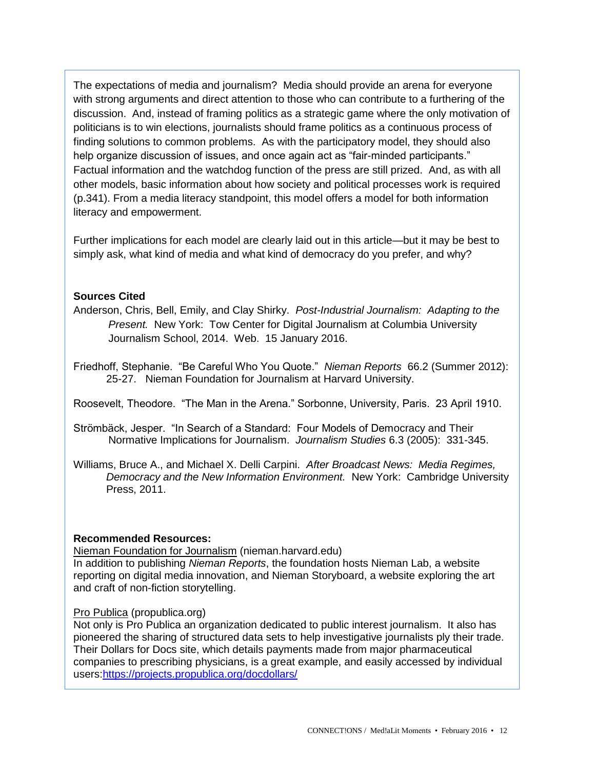The expectations of media and journalism? Media should provide an arena for everyone with strong arguments and direct attention to those who can contribute to a furthering of the discussion. And, instead of framing politics as a strategic game where the only motivation of politicians is to win elections, journalists should frame politics as a continuous process of finding solutions to common problems. As with the participatory model, they should also help organize discussion of issues, and once again act as "fair-minded participants." Factual information and the watchdog function of the press are still prized. And, as with all other models, basic information about how society and political processes work is required (p.341). From a media literacy standpoint, this model offers a model for both information literacy and empowerment.

Further implications for each model are clearly laid out in this article—but it may be best to simply ask, what kind of media and what kind of democracy do you prefer, and why?

## **Sources Cited**

Anderson, Chris, Bell, Emily, and Clay Shirky. *Post-Industrial Journalism: Adapting to the Present.* New York: Tow Center for Digital Journalism at Columbia University Journalism School, 2014. Web. 15 January 2016.

Friedhoff, Stephanie. "Be Careful Who You Quote." *Nieman Reports* 66.2 (Summer 2012): 25-27. Nieman Foundation for Journalism at Harvard University.

Roosevelt, Theodore. "The Man in the Arena." Sorbonne, University, Paris. 23 April 1910.

Strömbäck, Jesper. "In Search of a Standard: Four Models of Democracy and Their Normative Implications for Journalism. *Journalism Studies* 6.3 (2005): 331-345.

Williams, Bruce A., and Michael X. Delli Carpini. *After Broadcast News: Media Regimes, Democracy and the New Information Environment.* New York: Cambridge University Press, 2011.

## **Recommended Resources:**

Nieman Foundation for Journalism (nieman.harvard.edu)

In addition to publishing *Nieman Reports*, the foundation hosts Nieman Lab, a website reporting on digital media innovation, and Nieman Storyboard, a website exploring the art and craft of non-fiction storytelling.

## Pro Publica (propublica.org)

Not only is Pro Publica an organization dedicated to public interest journalism. It also has pioneered the sharing of structured data sets to help investigative journalists ply their trade. Their Dollars for Docs site, which details payments made from major pharmaceutical companies to prescribing physicians, is a great example, and easily accessed by individual users[:https://projects.propublica.org/docdollars/](https://projects.propublica.org/docdollars/)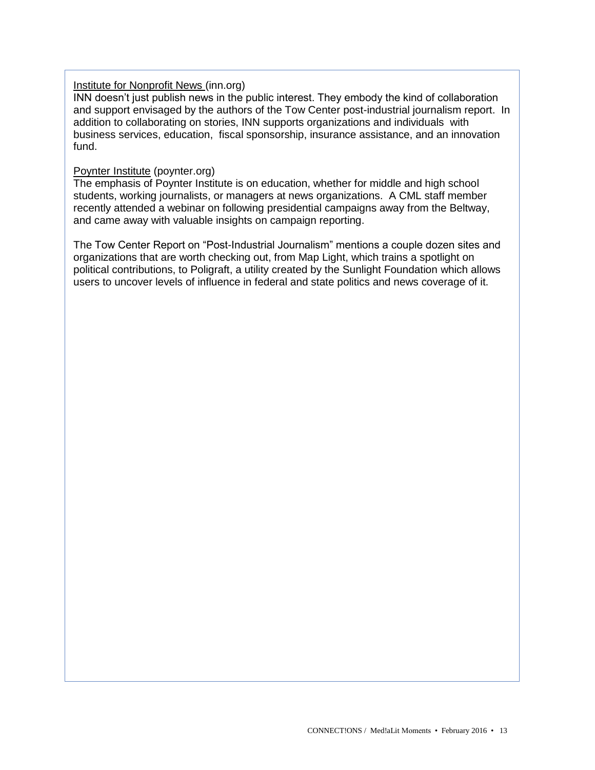### Institute for Nonprofit News (inn.org)

INN doesn't just publish news in the public interest. They embody the kind of collaboration and support envisaged by the authors of the Tow Center post-industrial journalism report. In addition to collaborating on stories, INN supports organizations and individuals with business services, education, fiscal sponsorship, insurance assistance, and an innovation fund.

### Poynter Institute (poynter.org)

The emphasis of Poynter Institute is on education, whether for middle and high school students, working journalists, or managers at news organizations. A CML staff member recently attended a webinar on following presidential campaigns away from the Beltway, and came away with valuable insights on campaign reporting.

The Tow Center Report on "Post-Industrial Journalism" mentions a couple dozen sites and organizations that are worth checking out, from Map Light, which trains a spotlight on political contributions, to Poligraft, a utility created by the Sunlight Foundation which allows users to uncover levels of influence in federal and state politics and news coverage of it.